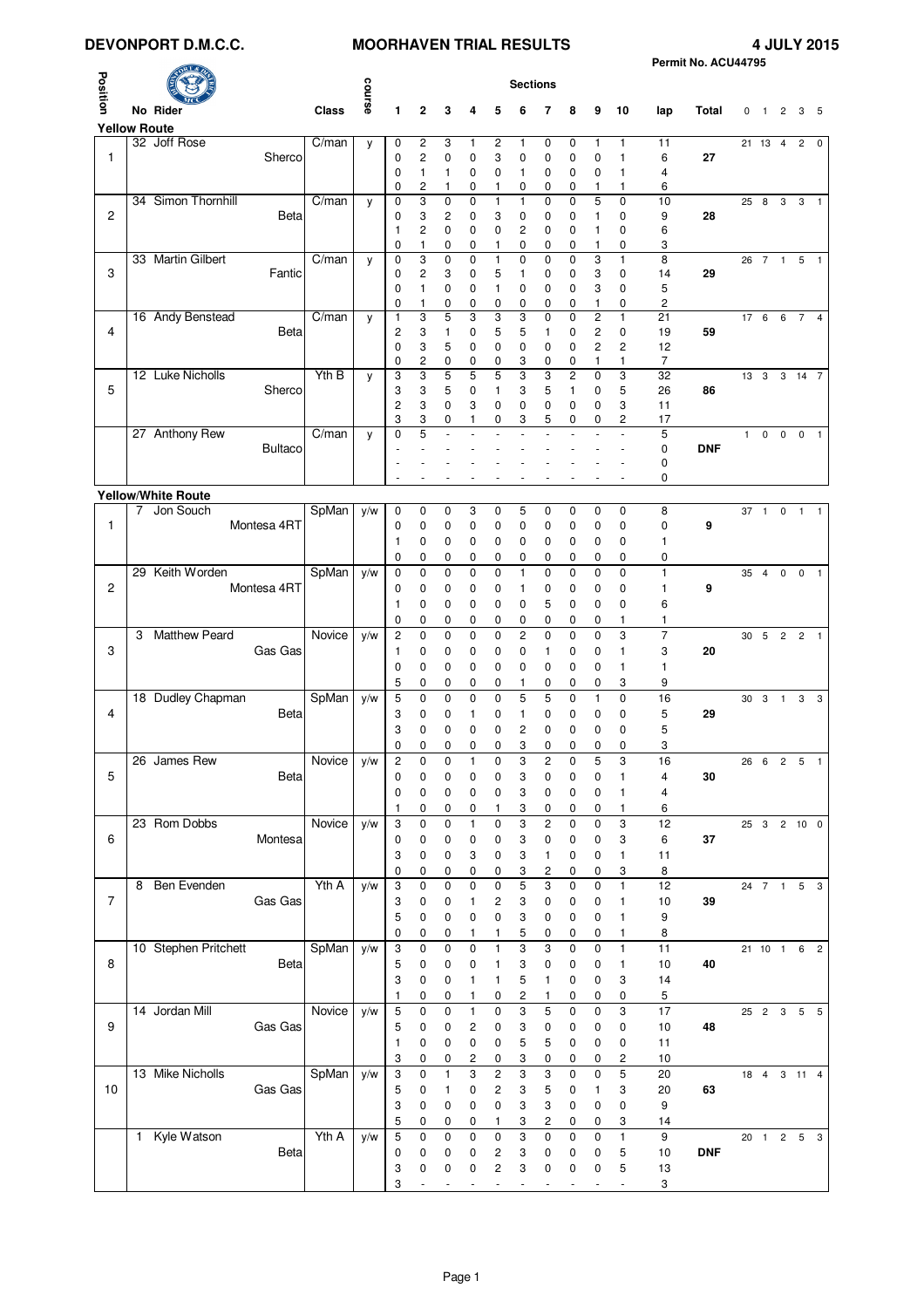## DEVONPORT D.M.C.C. **MOORHAVEN TRIAL RESULTS**

|                |                            |        |        |                         |                     |                |                                         |                          |                     |                          |                          |                          |                          |                           | Permit No. ACU44795 |              |                 |                |                |                |
|----------------|----------------------------|--------|--------|-------------------------|---------------------|----------------|-----------------------------------------|--------------------------|---------------------|--------------------------|--------------------------|--------------------------|--------------------------|---------------------------|---------------------|--------------|-----------------|----------------|----------------|----------------|
| Position       |                            |        |        |                         |                     |                |                                         |                          | <b>Sections</b>     |                          |                          |                          |                          |                           |                     |              |                 |                |                |                |
|                | No Rider                   | Class  | course | 1                       | 2                   | 3              | 4                                       | 5                        | 6                   | 7                        | 8                        | 9                        | 10                       | lap                       | Total               | 0            | $\overline{1}$  | 2              |                | 3 <sub>5</sub> |
|                | <b>Yellow Route</b>        |        |        |                         |                     |                |                                         |                          |                     |                          |                          |                          |                          |                           |                     |              |                 |                |                |                |
|                | 32 Joff Rose               | C/man  | y      | 0                       | 2                   | 3              | 1                                       | 2                        | 1                   | 0                        | 0                        | 1                        | 1                        | 11                        |                     |              | 21 13           | $\overline{4}$ | $\overline{c}$ | 0              |
| $\mathbf{1}$   | Sherco                     |        |        | 0                       | 2                   | 0              | 0                                       | 3                        | 0                   | 0                        | 0                        | 0                        | 1                        | 6                         | 27                  |              |                 |                |                |                |
|                |                            |        |        | 0<br>0                  | 1<br>2              | 1<br>1         | 0<br>0                                  | $\mathbf 0$<br>1         | 1<br>0              | 0<br>0                   | 0<br>0                   | 0<br>1                   | 1<br>1                   | $\overline{4}$<br>6       |                     |              |                 |                |                |                |
|                | 34 Simon Thornhill         | C/man  | y      | 0                       | 3                   | 0              | 0                                       | $\mathbf{1}$             | 1                   | 0                        | 0                        | 5                        | $\mathbf 0$              | 10                        |                     | 25           | 8               | 3              | 3              | -1             |
| 2              | Beta                       |        |        | 0                       | 3                   | 2              | 0                                       | 3                        | 0                   | 0                        | 0                        | 1                        | 0                        | 9                         | 28                  |              |                 |                |                |                |
|                |                            |        |        | 1<br>0                  | 2<br>1              | 0<br>0         | 0<br>0                                  | 0<br>1                   | $\overline{c}$<br>0 | 0<br>0                   | 0<br>0                   | 1<br>1                   | 0<br>0                   | 6<br>3                    |                     |              |                 |                |                |                |
|                | 33 Martin Gilbert          | C/man  | y      | 0                       | 3                   | 0              | 0                                       | 1                        | 0                   | 0                        | 0                        | 3                        | 1                        | 8                         |                     |              | 26 7 1          |                | 5              | $\overline{1}$ |
| 3              | Fantic                     |        |        | 0                       | 2                   | 3              | 0                                       | 5                        | 1                   | 0                        | 0                        | 3                        | 0                        | 14                        | 29                  |              |                 |                |                |                |
|                |                            |        |        | 0<br>0                  | 1<br>1              | 0<br>0         | 0<br>0                                  | 1<br>0                   | 0<br>0              | 0<br>0                   | 0<br>0                   | 3<br>1                   | 0<br>0                   | 5<br>2                    |                     |              |                 |                |                |                |
|                | 16 Andy Benstead           | C/man  | y      | 1                       | 3                   | 5              | 3                                       | 3                        | 3                   | 0                        | 0                        | $\overline{c}$           | 1                        | 21                        |                     |              | 17 6 6 7        |                |                | $\overline{4}$ |
| 4              | Beta                       |        |        | 2                       | 3                   | 1              | 0                                       | 5                        | 5                   | 1                        | 0                        | $\overline{c}$           | 0                        | 19                        | 59                  |              |                 |                |                |                |
|                |                            |        |        | 0                       | 3<br>$\overline{c}$ | 5              | 0                                       | 0                        | 0                   | 0                        | 0                        | $\overline{c}$           | 2                        | 12                        |                     |              |                 |                |                |                |
|                | 12 Luke Nicholls           | Yth B  | y      | 0<br>3                  | 3                   | 0<br>5         | 0<br>5                                  | 0<br>5                   | 3<br>3              | 0<br>3                   | 0<br>2                   | 1<br>$\mathbf 0$         | 1<br>3                   | 7<br>$\overline{32}$      |                     |              | $13 \quad 3$    |                | $3 \quad 14$   | $\overline{7}$ |
| 5              | Sherco                     |        |        | 3                       | 3                   | 5              | 0                                       | 1                        | 3                   | 5                        | 1                        | 0                        | 5                        | 26                        | 86                  |              |                 |                |                |                |
|                |                            |        |        | $\overline{\mathbf{c}}$ | 3                   | 0              | 3                                       | 0                        | 0                   | 0                        | 0                        | 0                        | 3                        | 11                        |                     |              |                 |                |                |                |
|                | 27 Anthony Rew             | C/man  |        | 3<br>0                  | 3<br>5              | 0              | 1                                       | 0                        | 3                   | 5                        | 0                        | 0                        | 2                        | 17<br>5                   |                     | $\mathbf{1}$ | $\pmb{0}$       | $\mathbf 0$    | $\mathbf 0$    | $\mathbf{1}$   |
|                | <b>Bultaco</b>             |        | y      |                         |                     |                |                                         |                          |                     |                          |                          |                          |                          | 0                         | <b>DNF</b>          |              |                 |                |                |                |
|                |                            |        |        |                         |                     |                |                                         |                          |                     |                          |                          |                          |                          | 0                         |                     |              |                 |                |                |                |
|                |                            |        |        |                         |                     |                |                                         |                          |                     |                          |                          |                          |                          | 0                         |                     |              |                 |                |                |                |
|                | <b>Yellow/White Route</b>  |        |        |                         |                     |                |                                         |                          |                     |                          |                          |                          |                          |                           |                     |              |                 |                |                |                |
| $\mathbf{1}$   | 7 Jon Souch<br>Montesa 4RT | SpMan  | y/w    | 0<br>0                  | 0<br>0              | 0<br>0         | 3<br>0                                  | 0<br>0                   | 5<br>0              | 0<br>0                   | 0<br>0                   | 0<br>0                   | $\mathbf 0$<br>0         | 8<br>0                    | 9                   | 37           | $\overline{1}$  | $\mathbf 0$    | $\overline{1}$ | $\mathbf{1}$   |
|                |                            |        |        | 1                       | 0                   | 0              | 0                                       | 0                        | 0                   | 0                        | 0                        | 0                        | 0                        | 1                         |                     |              |                 |                |                |                |
|                |                            |        |        | 0                       | 0                   | 0              | 0                                       | 0                        | 0                   | 0                        | 0                        | 0                        | 0                        | 0                         |                     |              |                 |                |                |                |
|                | 29 Keith Worden            | SpMan  | y/w    | 0                       | 0                   | 0              | 0                                       | $\mathbf 0$              | 1                   | 0                        | $\mathbf 0$              | 0                        | 0                        | $\mathbf{1}$              |                     | 35           | $\overline{4}$  | $\mathbf 0$    | $\mathbf 0$    | $\mathbf{1}$   |
| 2              | Montesa 4RT                |        |        | 0                       | 0                   | 0              | 0                                       | 0                        | 1                   | 0                        | 0                        | 0                        | 0                        | 1                         | 9                   |              |                 |                |                |                |
|                |                            |        |        | 1                       | 0                   | 0              | 0                                       | 0                        | 0                   | 5                        | 0                        | 0                        | 0                        | 6                         |                     |              |                 |                |                |                |
|                | <b>Matthew Peard</b><br>3  | Novice | y/w    | 0<br>$\overline{c}$     | 0<br>0              | 0<br>0         | 0<br>0                                  | 0<br>$\mathbf 0$         | 0<br>$\overline{c}$ | 0<br>0                   | 0<br>$\mathbf 0$         | 0<br>0                   | 1<br>3                   | 1<br>$\overline{7}$       |                     | 30           | 5               | 2 <sub>2</sub> |                | $\overline{1}$ |
| 3              | Gas Gas                    |        |        | 1                       | 0                   | 0              | 0                                       | 0                        | 0                   | 1                        | 0                        | 0                        | 1                        | 3                         | 20                  |              |                 |                |                |                |
|                |                            |        |        | 0                       | 0                   | 0              | 0                                       | 0                        | 0                   | 0                        | 0                        | 0                        | 1                        | $\mathbf{1}$              |                     |              |                 |                |                |                |
|                |                            |        |        | 5                       | 0                   | 0              | 0                                       | 0                        | 1                   | 0                        | 0                        | 0                        | 3                        | 9                         |                     |              |                 |                |                |                |
|                | 18 Dudley Chapman          | SpMan  | y/w    | 5                       | 0                   | 0              | 0                                       | $\mathbf 0$              | 5                   | 5                        | $\mathbf 0$              | 1                        | 0                        | 16                        |                     |              | 30 3 1 3        |                |                | 3              |
| 4              | Beta                       |        |        | 3                       | 0                   | 0              | 1                                       | 0                        | 1<br>2              | 0                        | 0                        | 0                        | 0<br>0                   | 5<br>5                    | 29                  |              |                 |                |                |                |
|                |                            |        |        | 3<br>0                  | 0<br>0              | 0<br>0         | 0<br>0                                  | 0<br>0                   | 3                   | 0<br>0                   | 0<br>0                   | 0<br>0                   | 0                        | 3                         |                     |              |                 |                |                |                |
|                | 26 James Rew               | Novice | y/w    | 2                       | 0                   | 0              |                                         | 0                        | 3                   | $\overline{c}$           | 0                        | b                        | 3                        | 16                        |                     | 26 6         |                 | 2 5            |                |                |
| 5              | Beta                       |        |        | 0                       | 0                   | $\pmb{0}$      | 0                                       | $\pmb{0}$                | 3                   | $\pmb{0}$                | 0                        | 0                        | 1                        | 4                         | 30                  |              |                 |                |                |                |
|                |                            |        |        | 0                       | 0                   | 0              | $\pmb{0}$                               | $\pmb{0}$                | 3                   | 0                        | 0                        | 0                        | 1                        | 4                         |                     |              |                 |                |                |                |
|                |                            |        |        | 1                       | 0                   | 0              | 0                                       | 1                        | 3                   | 0                        | 0                        | 0                        | 1                        | 6                         |                     |              |                 |                |                |                |
| 6              | 23 Rom Dobbs<br>Montesa    | Novice | y/w    | 3<br>0                  | 0<br>0              | 0<br>0         | 1<br>0                                  | $\pmb{0}$<br>0           | 3<br>3              | $\sqrt{2}$<br>0          | 0<br>0                   | $\mathbf 0$<br>0         | 3<br>3                   | 12<br>6                   | 37                  |              | 25 3 2 10 0     |                |                |                |
|                |                            |        |        | 3                       | 0                   | 0              | 3                                       | 0                        | 3                   | 1                        | 0                        | 0                        | 1                        | 11                        |                     |              |                 |                |                |                |
|                |                            |        |        | 0                       | 0                   | 0              | 0                                       | 0                        | 3                   | 2                        | 0                        | 0                        | 3                        | 8                         |                     |              |                 |                |                |                |
|                | 8 Ben Evenden              | Yth A  | y/w    | 3                       | 0                   | 0              | $\pmb{0}$                               | $\pmb{0}$                | 5                   | 3                        | $\pmb{0}$                | 0                        | 1                        | 12                        |                     |              | 24 7 1          |                |                | 5 <sub>3</sub> |
| $\overline{7}$ | Gas Gas                    |        |        | 3                       | 0                   | 0              | 1                                       | 2                        | 3                   | 0                        | 0                        | 0                        | 1                        | 10                        | 39                  |              |                 |                |                |                |
|                |                            |        |        | 5<br>0                  | 0<br>0              | 0<br>0         | 0<br>1                                  | $\pmb{0}$<br>1           | 3<br>5              | 0<br>0                   | 0<br>0                   | 0<br>0                   | 1<br>1                   | 9<br>8                    |                     |              |                 |                |                |                |
|                | 10 Stephen Pritchett       | SpMan  | y/w    | 3                       | 0                   | $\pmb{0}$      | 0                                       | 1                        | 3                   | 3                        | 0                        | $\pmb{0}$                | $\mathbf{1}$             | 11                        |                     |              | 21 10 1 6       |                |                | $\overline{2}$ |
| 8              | Beta                       |        |        | 5                       | 0                   | 0              | 0                                       | 1                        | 3                   | 0                        | 0                        | 0                        | 1                        | 10                        | 40                  |              |                 |                |                |                |
|                |                            |        |        | 3                       | 0                   | 0              | 1                                       | 1                        | 5                   | 1                        | 0                        | 0                        | 3                        | 14                        |                     |              |                 |                |                |                |
|                |                            |        |        | 1                       | 0                   | 0              | 1                                       | 0                        | 2                   | 1                        | 0                        | 0                        | 0                        | 5                         |                     |              |                 |                |                |                |
| 9              | 14 Jordan Mill<br>Gas Gas  | Novice | y/w    | 5<br>5                  | 0<br>0              | $\mathbf 0$    | $\mathbf{1}$<br>$\overline{\mathbf{c}}$ | $\mathbf 0$<br>$\pmb{0}$ | 3<br>3              | 5                        | $\pmb{0}$                | $\mathbf 0$              | 3<br>0                   | 17                        | 48                  |              | 25 2 3          |                | 5              | 5              |
|                |                            |        |        | 1                       | 0                   | 0<br>0         | 0                                       | $\pmb{0}$                | 5                   | 0<br>5                   | 0<br>0                   | 0<br>0                   | 0                        | 10<br>11                  |                     |              |                 |                |                |                |
|                |                            |        |        | 3                       | 0                   | 0              | 2                                       | 0                        | 3                   | 0                        | 0                        | 0                        | 2                        | 10                        |                     |              |                 |                |                |                |
|                | 13 Mike Nicholls           | SpMan  | y/w    | 3                       | 0                   | $\mathbf{1}$   | 3                                       | $\overline{c}$           | 3                   | 3                        | $\pmb{0}$                | $\mathbf 0$              | 5                        | 20                        |                     |              | 18  4  3  11  4 |                |                |                |
| 10             | Gas Gas                    |        |        | 5                       | 0                   | 1              | 0                                       | 2                        | 3                   | 5                        | 0                        | 1                        | 3                        | 20                        | 63                  |              |                 |                |                |                |
|                |                            |        |        | 3                       | 0                   | 0              | 0                                       | $\mathbf 0$              | 3                   | 3                        | 0                        | $\pmb{0}$                | 0                        | 9                         |                     |              |                 |                |                |                |
|                | 1 Kyle Watson              | Yth A  | y/w    | 5<br>5                  | 0<br>0              | 0<br>$\pmb{0}$ | 0<br>0                                  | 1<br>$\pmb{0}$           | 3<br>3              | 2<br>$\pmb{0}$           | 0<br>$\pmb{0}$           | 0<br>$\mathbf 0$         | 3<br>$\mathbf{1}$        | 14<br>9                   |                     |              | 20 1 2 5 3      |                |                |                |
|                | <b>Beta</b>                |        |        | 0                       | 0                   | 0              | 0                                       |                          | 3                   | 0                        | 0                        | 0                        | 5                        | 10                        | <b>DNF</b>          |              |                 |                |                |                |
|                |                            |        |        | 3                       | 0                   | 0              | 0                                       | $\overline{c}$           | 3                   | 0                        | 0                        | $\mathbf 0$              | 5                        | 13                        |                     |              |                 |                |                |                |
|                |                            |        |        | 3                       | $\blacksquare$      | $\sim$         | $\sim$                                  | $\sim$                   | $\blacksquare$      | $\overline{\phantom{a}}$ | $\overline{\phantom{a}}$ | $\overline{\phantom{a}}$ | $\overline{\phantom{a}}$ | $\ensuremath{\mathsf{3}}$ |                     |              |                 |                |                |                |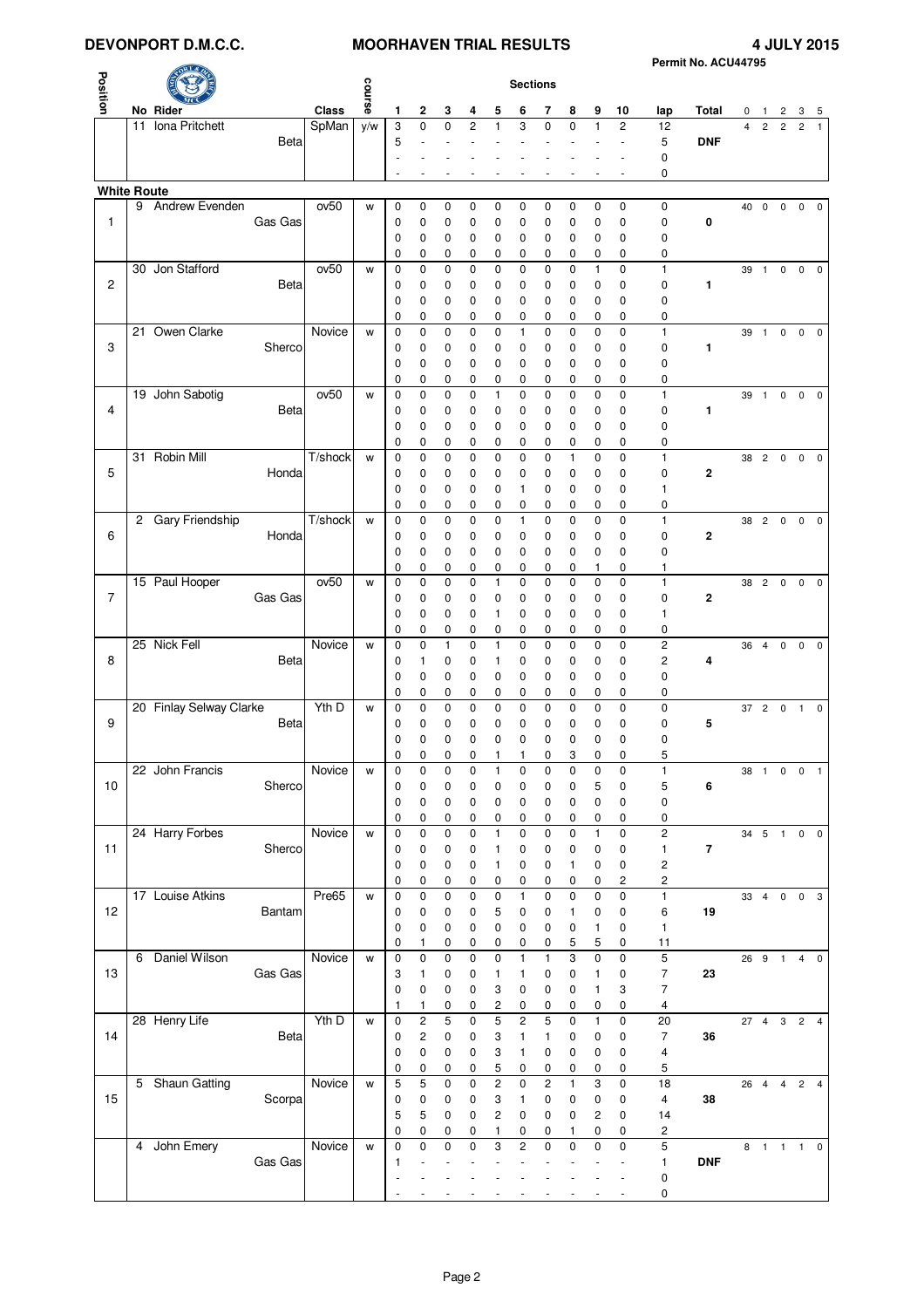# **DEVONPORT D.M.C.C.** MOORHAVEN TRIAL RESULTS 4 JULY 2015

| Permit No. ACU44795 |  |  |
|---------------------|--|--|

|                    |    |                         |             |                             |        |                  |                  |                  | Permit No. ACU44795 |                         |                         |                  |                  |                         |                         |                     |             |            |                |                         |                |                         |
|--------------------|----|-------------------------|-------------|-----------------------------|--------|------------------|------------------|------------------|---------------------|-------------------------|-------------------------|------------------|------------------|-------------------------|-------------------------|---------------------|-------------|------------|----------------|-------------------------|----------------|-------------------------|
|                    |    |                         |             |                             |        |                  |                  |                  |                     |                         | <b>Sections</b>         |                  |                  |                         |                         |                     |             |            |                |                         |                |                         |
| Position           |    |                         |             |                             | course |                  |                  |                  |                     |                         |                         |                  |                  |                         |                         |                     |             |            |                |                         |                |                         |
|                    |    | No Rider                |             | Class                       |        | 1                | $\mathbf 2$      | 3                | 4                   | 5                       | 6                       | 7                | 8                | 9                       | 10                      | lap                 | Total       | 0          | -1             | 2                       | 3              | 5                       |
|                    | 11 | Iona Pritchett          |             | SpMan                       | y/w    | 3                | $\mathbf 0$      | $\mathbf 0$      | 2                   | $\mathbf{1}$            | 3                       | $\mathbf 0$      | $\mathbf 0$      | $\mathbf{1}$            | $\overline{c}$          | 12                  |             | 4          | $\overline{c}$ | $\overline{c}$          | $\overline{c}$ | $\mathbf{1}$            |
|                    |    |                         | <b>Beta</b> |                             |        | 5                | ÷,               | $\overline{a}$   |                     |                         |                         | ä,               |                  | ÷                       | ÷,                      | 5<br>0              | <b>DNF</b>  |            |                |                         |                |                         |
|                    |    |                         |             |                             |        |                  |                  |                  |                     |                         |                         |                  |                  |                         |                         | 0                   |             |            |                |                         |                |                         |
| <b>White Route</b> |    |                         |             |                             |        |                  |                  |                  |                     |                         |                         |                  |                  |                         |                         |                     |             |            |                |                         |                |                         |
|                    | 9  | Andrew Evenden          |             | ov <sub>50</sub>            | W      | 0                | 0                | 0                | 0                   | 0                       | 0                       | 0                | 0                | 0                       | $\mathbf 0$             | 0                   |             | 40         | 0              | 0                       | 0              | 0                       |
| $\mathbf{1}$       |    |                         | Gas Gas     |                             |        | 0                | 0                | 0                | 0                   | 0                       | 0                       | 0                | 0                | 0                       | 0                       | 0                   | 0           |            |                |                         |                |                         |
|                    |    |                         |             |                             |        | 0                | 0                | 0                | 0                   | 0                       | 0                       | 0                | 0                | 0                       | 0                       | 0                   |             |            |                |                         |                |                         |
|                    |    |                         |             |                             |        | 0                | 0                | 0                | 0                   | 0                       | 0                       | 0                | 0                | 0                       | 0                       | 0                   |             |            |                |                         |                |                         |
|                    |    | 30 Jon Stafford         |             | ov <sub>50</sub>            | W      | $\mathbf 0$      | $\mathbf 0$      | $\mathbf 0$      | $\mathbf 0$         | 0                       | 0                       | $\mathbf 0$      | $\pmb{0}$        | $\mathbf{1}$            | $\mathbf 0$             | $\mathbf{1}$        |             | 39         | $\mathbf{1}$   | $\mathsf 0$             |                | $0\quad 0$              |
| 2                  |    |                         | Beta        |                             |        | 0                | 0                | 0                | 0                   | 0                       | 0                       | 0                | 0                | 0                       | 0                       | 0                   | 1           |            |                |                         |                |                         |
|                    |    |                         |             |                             |        | 0                | 0                | 0                | 0                   | 0                       | 0                       | 0                | 0                | $\mathbf 0$             | 0                       | 0                   |             |            |                |                         |                |                         |
|                    |    |                         |             |                             |        | 0                | 0                | 0                | 0                   | 0                       | 0                       | 0                | 0                | 0                       | 0                       | 0                   |             |            |                |                         |                |                         |
| 3                  |    | 21 Owen Clarke          | Sherco      | Novice                      | W      | 0<br>0           | 0<br>0           | $\mathbf 0$<br>0 | $\mathbf 0$<br>0    | 0<br>0                  | $\mathbf{1}$<br>0       | $\mathbf 0$<br>0 | $\mathbf 0$<br>0 | 0<br>0                  | $\mathbf 0$<br>0        | $\mathbf{1}$<br>0   | 1           |            | 39 1           | $\mathbf 0$             |                | $0\quad 0$              |
|                    |    |                         |             |                             |        | 0                | $\mathbf 0$      | 0                | 0                   | 0                       | 0                       | 0                | 0                | 0                       | 0                       | 0                   |             |            |                |                         |                |                         |
|                    |    |                         |             |                             |        | 0                | 0                | 0                | 0                   | 0                       | 0                       | 0                | 0                | 0                       | $\mathbf 0$             | 0                   |             |            |                |                         |                |                         |
|                    |    | 19 John Sabotig         |             | ov <sub>50</sub>            | W      | 0                | 0                | 0                | 0                   | 1                       | 0                       | 0                | 0                | $\mathbf 0$             | 0                       | $\mathbf{1}$        |             | 39         | $\overline{1}$ | $\pmb{0}$               | $\mathbf 0$    | $\overline{\mathbf{0}}$ |
| 4                  |    |                         | Beta        |                             |        | 0                | 0                | 0                | 0                   | 0                       | 0                       | 0                | 0                | 0                       | 0                       | 0                   | 1           |            |                |                         |                |                         |
|                    |    |                         |             |                             |        | 0                | 0                | 0                | 0                   | 0                       | 0                       | 0                | 0                | 0                       | 0                       | 0                   |             |            |                |                         |                |                         |
|                    |    |                         |             |                             |        | 0                | 0                | 0                | 0                   | 0                       | 0                       | 0                | 0                | 0                       | 0                       | 0                   |             |            |                |                         |                |                         |
|                    |    | 31 Robin Mill           |             | $\overline{T/\text{shock}}$ | W      | 0                | 0                | 0                | 0                   | 0                       | 0                       | 0                | $\mathbf{1}$     | $\mathbf 0$             | $\mathbf 0$             | $\mathbf{1}$        |             | 38         | $\overline{c}$ | $\mathbf 0$             |                | $0\quad 0$              |
| 5                  |    |                         | Honda       |                             |        | 0                | 0                | 0                | 0                   | 0                       | 0                       | 0                | 0                | 0                       | $\mathbf 0$             | 0                   | $\mathbf 2$ |            |                |                         |                |                         |
|                    |    |                         |             |                             |        | $\mathbf 0$      | $\mathbf 0$      | 0                | 0                   | 0                       | 1                       | 0                | 0                | $\mathbf 0$             | $\mathbf 0$             | 1                   |             |            |                |                         |                |                         |
|                    |    | 2 Gary Friendship       |             | T/shock                     | W      | 0<br>0           | 0<br>$\mathbf 0$ | 0<br>0           | 0<br>$\mathbf 0$    | 0<br>0                  | 0<br>$\mathbf{1}$       | 0<br>0           | 0<br>$\mathbf 0$ | 0<br>$\mathbf 0$        | 0<br>$\mathbf 0$        | 0<br>$\mathbf{1}$   |             | 38 2       |                | $\overline{\mathbf{0}}$ |                | $0\quad 0$              |
| 6                  |    |                         | Honda       |                             |        | 0                | 0                | 0                | 0                   | 0                       | 0                       | 0                | 0                | 0                       | 0                       | 0                   | $\mathbf 2$ |            |                |                         |                |                         |
|                    |    |                         |             |                             |        | 0                | 0                | 0                | 0                   | 0                       | 0                       | $\mathbf 0$      | 0                | $\mathbf 0$             | 0                       | 0                   |             |            |                |                         |                |                         |
|                    |    |                         |             |                             |        | 0                | 0                | 0                | 0                   | 0                       | 0                       | 0                | 0                | 1                       | 0                       | 1                   |             |            |                |                         |                |                         |
|                    |    | 15 Paul Hooper          |             | ov <sub>50</sub>            | W      | 0                | 0                | 0                | $\mathbf 0$         | 1                       | 0                       | 0                | $\mathbf 0$      | 0                       | 0                       | $\mathbf{1}$        |             |            | 38 2 0         |                         |                | $0\quad 0$              |
| $\overline{7}$     |    |                         | Gas Gas     |                             |        | 0                | 0                | 0                | 0                   | 0                       | 0                       | 0                | 0                | 0                       | $\mathbf 0$             | $\mathbf 0$         | $\mathbf 2$ |            |                |                         |                |                         |
|                    |    |                         |             |                             |        | 0                | 0                | 0                | 0                   | 1                       | 0                       | 0                | 0                | 0                       | 0                       | 1                   |             |            |                |                         |                |                         |
|                    |    |                         |             |                             |        | 0                | 0                | 0                | 0                   | 0                       | 0                       | 0                | 0                | 0                       | 0                       | 0                   |             |            |                |                         |                |                         |
|                    |    | 25 Nick Fell            |             | Novice                      | W      | 0                | $\mathbf 0$      | $\mathbf{1}$     | $\mathbf 0$         | $\mathbf{1}$            | $\mathbf 0$             | 0                | $\mathbf 0$      | $\mathbf 0$             | $\mathbf 0$             | $\overline{c}$      |             | 36         | $\overline{4}$ | 0                       | $\mathbf 0$    | $\mathbf 0$             |
| 8                  |    |                         | <b>Beta</b> |                             |        | 0                | 1                | 0                | 0                   | 1                       | 0                       | 0                | 0                | 0                       | 0                       | $\overline{c}$      | 4           |            |                |                         |                |                         |
|                    |    |                         |             |                             |        | 0<br>0           | 0<br>0           | 0<br>0           | 0<br>0              | 0<br>0                  | 0<br>0                  | 0<br>0           | 0<br>0           | 0<br>0                  | 0<br>0                  | 0<br>0              |             |            |                |                         |                |                         |
|                    |    | 20 Finlay Selway Clarke |             | Yth D                       | W      | 0                | $\mathbf 0$      | $\mathbf 0$      | $\mathbf 0$         | 0                       | 0                       | $\mathbf 0$      | 0                | $\mathbf 0$             | $\mathbf 0$             | $\mathbf 0$         |             | 37         | $\overline{c}$ | $\mathbf 0$             | $\overline{1}$ | $\mathbf 0$             |
| 9                  |    |                         | Beta        |                             |        | 0                | 0                | 0                | 0                   | 0                       | 0                       | 0                | 0                | 0                       | 0                       | 0                   | 5           |            |                |                         |                |                         |
|                    |    |                         |             |                             |        | 0                | 0                | 0                | 0                   | 0                       | 0                       | 0                | 0                | 0                       | 0                       | 0                   |             |            |                |                         |                |                         |
|                    |    |                         |             |                             |        | 0                | 0                | $\pmb{0}$        | 0                   | 1                       | 1                       | $\pmb{0}$        | 3                | 0                       | 0                       | 5                   |             |            |                |                         |                |                         |
|                    |    | 22 John Francis         |             | Novice                      | W      | 0                | 0                | $\mathbf 0$      | 0                   | 1                       | 0                       | 0                | 0                | 0                       | $\pmb{0}$               | 1                   |             | 38         | $\overline{1}$ | $\mathbf 0$             |                | $0 \quad 1$             |
| 10                 |    |                         | Sherco      |                             |        | 0                | 0                | $\pmb{0}$        | 0                   | 0                       | 0                       | 0                | 0                | 5                       | $\pmb{0}$               | 5                   | 6           |            |                |                         |                |                         |
|                    |    |                         |             |                             |        | 0                | 0                | 0                | 0                   | 0                       | 0                       | 0                | 0                | 0                       | 0                       | 0                   |             |            |                |                         |                |                         |
|                    |    | 24 Harry Forbes         |             | Novice                      |        | 0<br>0           | 0<br>$\mathbf 0$ | 0<br>$\mathbf 0$ | 0<br>$\mathbf 0$    | 0<br>1                  | 0<br>$\mathbf 0$        | 0<br>$\mathbf 0$ | 0<br>0           | 0<br>$\mathbf{1}$       | 0<br>$\pmb{0}$          | 0<br>$\overline{c}$ |             |            |                | 34 5 1 0 0              |                |                         |
| 11                 |    |                         | Sherco      |                             | W      | 0                | 0                | 0                | 0                   | 1                       | 0                       | 0                | 0                | 0                       | 0                       | $\mathbf{1}$        | $\bf 7$     |            |                |                         |                |                         |
|                    |    |                         |             |                             |        | 0                | 0                | 0                | 0                   | 1                       | 0                       | 0                | 1                | 0                       | $\mathbf 0$             | $\mathbf 2$         |             |            |                |                         |                |                         |
|                    |    |                         |             |                             |        | 0                | 0                | 0                | 0                   | 0                       | 0                       | 0                | 0                | 0                       | $\overline{\mathbf{c}}$ | 2                   |             |            |                |                         |                |                         |
|                    |    | 17 Louise Atkins        |             | Pre65                       | W      | 0                | $\mathbf 0$      | $\mathbf 0$      | $\mathbf 0$         | $\mathbf 0$             | $\mathbf{1}$            | 0                | $\mathbf 0$      | $\mathbf 0$             | $\mathbf 0$             | $\mathbf{1}$        |             | 33 4 0 0 3 |                |                         |                |                         |
| 12                 |    |                         | Bantam      |                             |        | 0                | 0                | 0                | 0                   | 5                       | 0                       | $\pmb{0}$        | 1                | $\pmb{0}$               | 0                       | 6                   | 19          |            |                |                         |                |                         |
|                    |    |                         |             |                             |        | 0                | 0                | 0                | 0                   | 0                       | 0                       | 0                | 0                | 1                       | $\mathbf 0$             | 1                   |             |            |                |                         |                |                         |
|                    |    |                         |             |                             |        | 0                | 1                | 0                | 0                   | 0                       | 0                       | 0                | 5                | 5                       | 0                       | 11                  |             |            |                |                         |                |                         |
|                    |    | 6 Daniel Wilson         |             | Novice                      | W      | 0                | 0                | 0                | $\mathbf 0$         | 0                       | $\mathbf{1}$            | $\mathbf{1}$     | 3                | $\mathbf 0$             | 0                       | 5                   |             | 26 9 1     |                |                         |                | $4\quad 0$              |
| 13                 |    |                         | Gas Gas     |                             |        | 3<br>0           | 1<br>0           | 0                | 0                   | 1                       | 1                       | 0                | 0                | 1<br>$\mathbf{1}$       | 0                       | $\overline{7}$<br>7 | 23          |            |                |                         |                |                         |
|                    |    |                         |             |                             |        | 1                | 1                | 0<br>0           | 0<br>0              | 3<br>2                  | 0<br>0                  | 0<br>0           | 0<br>0           | 0                       | 3<br>0                  | 4                   |             |            |                |                         |                |                         |
|                    |    | 28 Henry Life           |             | Yth D                       | W      | 0                | $\mathbf 2$      | 5                | $\mathbf 0$         | 5                       | $\overline{\mathbf{c}}$ | $\mathbf 5$      | 0                | 1                       | $\pmb{0}$               | 20                  |             |            |                | 27 4 3 2 4              |                |                         |
| 14                 |    |                         | Beta        |                             |        | 0                | $\overline{c}$   | $\pmb{0}$        | 0                   | 3                       | 1                       | 1                | 0                | 0                       | 0                       | $\overline{7}$      | 36          |            |                |                         |                |                         |
|                    |    |                         |             |                             |        | 0                | $\mathbf 0$      | $\mathbf 0$      | 0                   | 3                       | 1                       | 0                | 0                | 0                       | 0                       | 4                   |             |            |                |                         |                |                         |
|                    |    |                         |             |                             |        | 0                | 0                | 0                | 0                   | 5                       | 0                       | 0                | 0                | 0                       | 0                       | 5                   |             |            |                |                         |                |                         |
|                    |    | 5 Shaun Gatting         |             | Novice                      | W      | 5                | 5                | $\mathbf 0$      | $\mathbf 0$         | $\overline{c}$          | $\mathbf 0$             | $\overline{c}$   | $\mathbf{1}$     | 3                       | $\mathbf 0$             | 18                  |             |            | 26 4 4         |                         |                | $2 \quad 4$             |
| 15                 |    |                         | Scorpa      |                             |        | 0                | 0                | 0                | 0                   | 3                       | 1                       | $\pmb{0}$        | 0                | $\pmb{0}$               | $\mathbf 0$             | 4                   | 38          |            |                |                         |                |                         |
|                    |    |                         |             |                             |        | 5                | 5                | 0                | 0                   | $\overline{\mathbf{c}}$ | 0                       | 0                | 0                | $\overline{\mathbf{c}}$ | $\pmb{0}$               | 14                  |             |            |                |                         |                |                         |
|                    |    |                         |             |                             |        | 0                | 0                | 0                | 0                   | 1                       | 0                       | 0                | 1                | 0                       | 0                       | 2                   |             |            |                |                         |                |                         |
|                    |    | 4 John Emery            | Gas Gas     | Novice                      | W      | $\mathbf 0$<br>1 | $\mathbf 0$      | $\mathbf 0$      | $\mathbf{0}$        | 3                       | $\overline{c}$          | 0                | 0                | $\mathbf 0$             | 0                       | 5<br>1              | <b>DNF</b>  |            |                | 8 1 1 1 0               |                |                         |
|                    |    |                         |             |                             |        |                  |                  |                  |                     |                         |                         |                  |                  |                         |                         | $\pmb{0}$           |             |            |                |                         |                |                         |
|                    |    |                         |             |                             |        |                  |                  |                  |                     |                         |                         |                  |                  |                         |                         | 0                   |             |            |                |                         |                |                         |
|                    |    |                         |             |                             |        |                  |                  |                  |                     |                         |                         |                  |                  |                         |                         |                     |             |            |                |                         |                |                         |